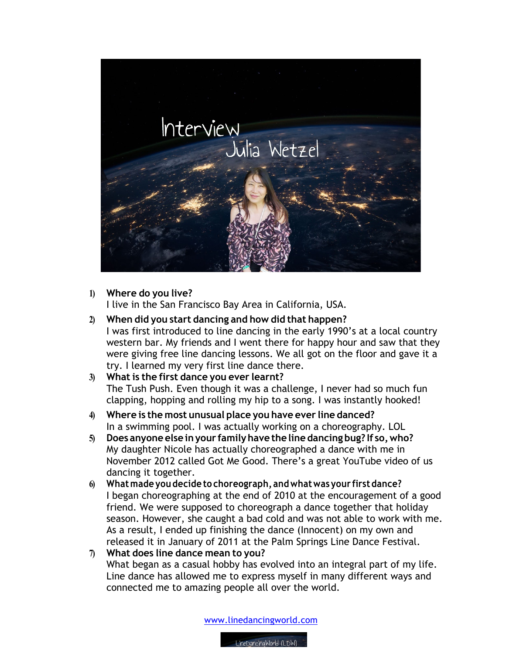

## **1) Where do you live?**

I live in the San Francisco Bay Area in California, USA.

**2) When did you start dancing and how did that happen?** I was first introduced to line dancing in the early 1990's at a local country western bar. My friends and I went there for happy hour and saw that they were giving free line dancing lessons. We all got on the floor and gave it a try. I learned my very first line dance there.

## **3) What is the first dance you ever learnt?** The Tush Push. Even though it was a challenge, I never had so much fun clapping, hopping and rolling my hip to a song. I was instantly hooked!

- **4) Where is the most unusual place you have ever line danced?** In a swimming pool. I was actually working on a choreography. LOL
- **5) Does anyone else inyour familyhave the line dancing bug? If so,who?** My daughter Nicole has actually choreographed a dance with me in November 2012 called Got Me Good. There's a great YouTube video of us dancing it together.
- **6) Whatmade you decide to choreograph, andwhatwas your firstdance?**  I began choreographing at the end of 2010 at the encouragement of a good friend. We were supposed to choreograph a dance together that holiday season. However, she caught a bad cold and was not able to work with me. As a result, I ended up finishing the dance (Innocent) on my own and released it in January of 2011 at the Palm Springs Line Dance Festival.
- **7) What does line dance mean to you?** What began as a casual hobby has evolved into an integral part of my life. Line dance has allowed me to express myself in many different ways and connected me to amazing people all over the world.

www.linedancingworld.com

LineDancinaWorld (LDW)